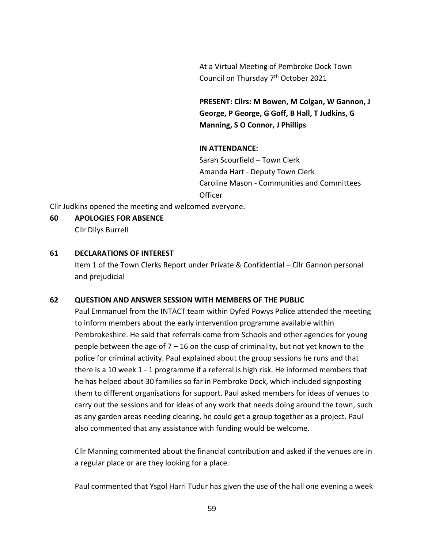At a Virtual Meeting of Pembroke Dock Town Council on Thursday 7<sup>th</sup> October 2021

**PRESENT: Cllrs: M Bowen, M Colgan, W Gannon, J George, P George, G Goff, B Hall, T Judkins, G Manning, S O Connor, J Phillips**

## **IN ATTENDANCE:**

Sarah Scourfield – Town Clerk Amanda Hart - Deputy Town Clerk Caroline Mason - Communities and Committees **Officer** 

Cllr Judkins opened the meeting and welcomed everyone.

#### **60 APOLOGIES FOR ABSENCE**

Cllr Dilys Burrell

#### **61 DECLARATIONS OF INTEREST**

Item 1 of the Town Clerks Report under Private & Confidential – Cllr Gannon personal and prejudicial

#### **62 QUESTION AND ANSWER SESSION WITH MEMBERS OF THE PUBLIC**

Paul Emmanuel from the INTACT team within Dyfed Powys Police attended the meeting to inform members about the early intervention programme available within Pembrokeshire. He said that referrals come from Schools and other agencies for young people between the age of  $7 - 16$  on the cusp of criminality, but not yet known to the police for criminal activity. Paul explained about the group sessions he runs and that there is a 10 week 1 - 1 programme if a referral is high risk. He informed members that he has helped about 30 families so far in Pembroke Dock, which included signposting them to different organisations for support. Paul asked members for ideas of venues to carry out the sessions and for ideas of any work that needs doing around the town, such as any garden areas needing clearing, he could get a group together as a project. Paul also commented that any assistance with funding would be welcome.

Cllr Manning commented about the financial contribution and asked if the venues are in a regular place or are they looking for a place.

Paul commented that Ysgol Harri Tudur has given the use of the hall one evening a week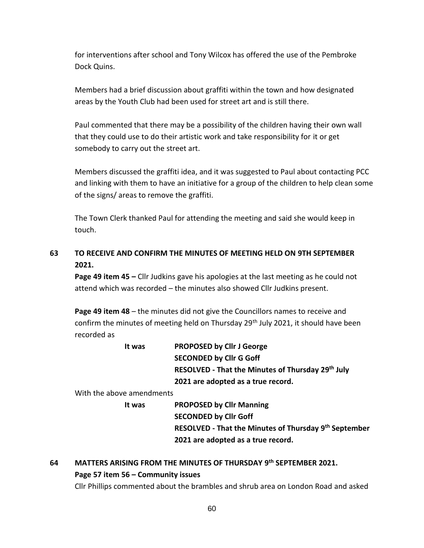for interventions after school and Tony Wilcox has offered the use of the Pembroke Dock Quins.

Members had a brief discussion about graffiti within the town and how designated areas by the Youth Club had been used for street art and is still there.

Paul commented that there may be a possibility of the children having their own wall that they could use to do their artistic work and take responsibility for it or get somebody to carry out the street art.

Members discussed the graffiti idea, and it was suggested to Paul about contacting PCC and linking with them to have an initiative for a group of the children to help clean some of the signs/ areas to remove the graffiti.

The Town Clerk thanked Paul for attending the meeting and said she would keep in touch.

# **63 TO RECEIVE AND CONFIRM THE MINUTES OF MEETING HELD ON 9TH SEPTEMBER 2021.**

**Page 49 item 45 –** Cllr Judkins gave his apologies at the last meeting as he could not attend which was recorded – the minutes also showed Cllr Judkins present.

**Page 49 item 48** – the minutes did not give the Councillors names to receive and confirm the minutes of meeting held on Thursday  $29<sup>th</sup>$  July 2021, it should have been recorded as

| It was | <b>PROPOSED by Cllr J George</b>                  |
|--------|---------------------------------------------------|
|        | <b>SECONDED by Cllr G Goff</b>                    |
|        | RESOLVED - That the Minutes of Thursday 29th July |
|        | 2021 are adopted as a true record.                |
|        |                                                   |

With the above amendments

**It was PROPOSED by Cllr Manning SECONDED by Cllr Goff RESOLVED - That the Minutes of Thursday 9 th September 2021 are adopted as a true record.**

# **64 MATTERS ARISING FROM THE MINUTES OF THURSDAY 9 th SEPTEMBER 2021. Page 57 item 56 – Community issues**

Cllr Phillips commented about the brambles and shrub area on London Road and asked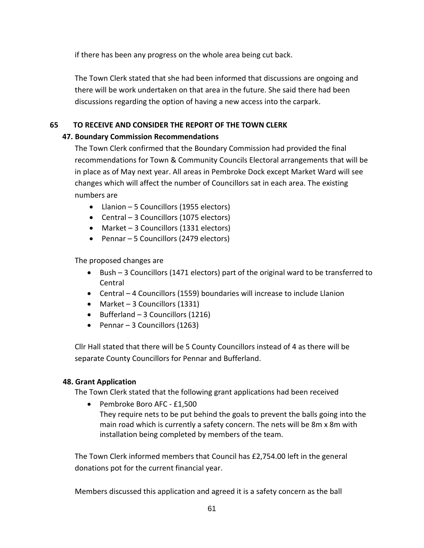if there has been any progress on the whole area being cut back.

The Town Clerk stated that she had been informed that discussions are ongoing and there will be work undertaken on that area in the future. She said there had been discussions regarding the option of having a new access into the carpark.

# **65 TO RECEIVE AND CONSIDER THE REPORT OF THE TOWN CLERK**

# **47. Boundary Commission Recommendations**

The Town Clerk confirmed that the Boundary Commission had provided the final recommendations for Town & Community Councils Electoral arrangements that will be in place as of May next year. All areas in Pembroke Dock except Market Ward will see changes which will affect the number of Councillors sat in each area. The existing numbers are

- Llanion 5 Councillors (1955 electors)
- Central 3 Councillors (1075 electors)
- Market 3 Councillors (1331 electors)
- Pennar 5 Councillors (2479 electors)

The proposed changes are

- Bush 3 Councillors (1471 electors) part of the original ward to be transferred to Central
- Central 4 Councillors (1559) boundaries will increase to include Llanion
- Market 3 Councillors (1331)
- Bufferland 3 Councillors (1216)
- Pennar 3 Councillors (1263)

Cllr Hall stated that there will be 5 County Councillors instead of 4 as there will be separate County Councillors for Pennar and Bufferland.

# **48. Grant Application**

The Town Clerk stated that the following grant applications had been received

• Pembroke Boro AFC - £1,500 They require nets to be put behind the goals to prevent the balls going into the main road which is currently a safety concern. The nets will be 8m x 8m with installation being completed by members of the team.

The Town Clerk informed members that Council has £2,754.00 left in the general donations pot for the current financial year.

Members discussed this application and agreed it is a safety concern as the ball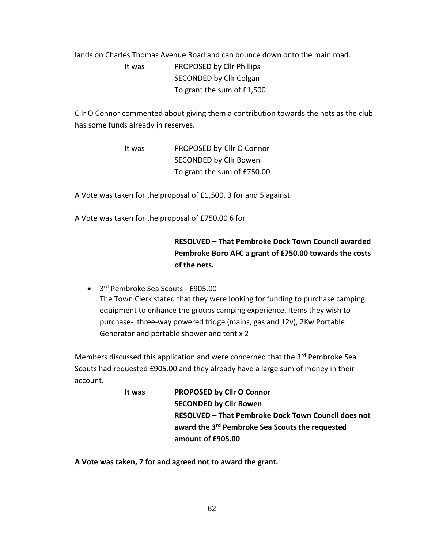# lands on Charles Thomas Avenue Road and can bounce down onto the main road. It was PROPOSED by Cllr Phillips SECONDED by Cllr Colgan To grant the sum of £1,500

Cllr O Connor commented about giving them a contribution towards the nets as the club has some funds already in reserves.

> It was PROPOSED by Cllr O Connor SECONDED by Cllr Bowen To grant the sum of £750.00

A Vote was taken for the proposal of £1,500, 3 for and 5 against

A Vote was taken for the proposal of £750.00 6 for

# **RESOLVED – That Pembroke Dock Town Council awarded Pembroke Boro AFC a grant of £750.00 towards the costs of the nets.**

• 3 rd Pembroke Sea Scouts - £905.00 The Town Clerk stated that they were looking for funding to purchase camping equipment to enhance the groups camping experience. Items they wish to purchase- three-way powered fridge (mains, gas and 12v), 2Kw Portable Generator and portable shower and tent x 2

Members discussed this application and were concerned that the 3<sup>rd</sup> Pembroke Sea Scouts had requested £905.00 and they already have a large sum of money in their account.

> **It was PROPOSED by Cllr O Connor SECONDED by Cllr Bowen RESOLVED – That Pembroke Dock Town Council does not award the 3 rd Pembroke Sea Scouts the requested amount of £905.00**

**A Vote was taken, 7 for and agreed not to award the grant.**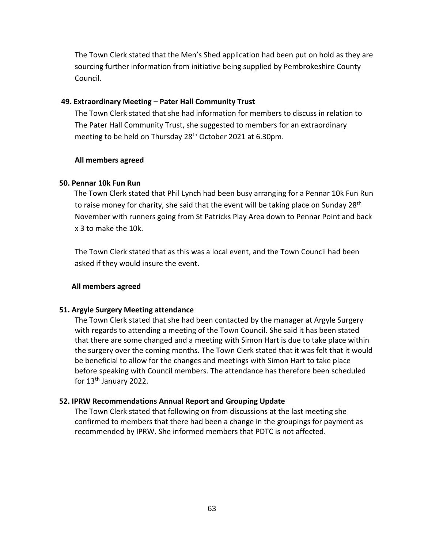The Town Clerk stated that the Men's Shed application had been put on hold as they are sourcing further information from initiative being supplied by Pembrokeshire County Council.

#### **49. Extraordinary Meeting – Pater Hall Community Trust**

The Town Clerk stated that she had information for members to discuss in relation to The Pater Hall Community Trust, she suggested to members for an extraordinary meeting to be held on Thursday 28<sup>th</sup> October 2021 at 6.30pm.

## **All members agreed**

## **50. Pennar 10k Fun Run**

 The Town Clerk stated that Phil Lynch had been busy arranging for a Pennar 10k Fun Run to raise money for charity, she said that the event will be taking place on Sunday 28<sup>th</sup> November with runners going from St Patricks Play Area down to Pennar Point and back x 3 to make the 10k.

The Town Clerk stated that as this was a local event, and the Town Council had been asked if they would insure the event.

# **All members agreed**

# **51. Argyle Surgery Meeting attendance**

The Town Clerk stated that she had been contacted by the manager at Argyle Surgery with regards to attending a meeting of the Town Council. She said it has been stated that there are some changed and a meeting with Simon Hart is due to take place within the surgery over the coming months. The Town Clerk stated that it was felt that it would be beneficial to allow for the changes and meetings with Simon Hart to take place before speaking with Council members. The attendance has therefore been scheduled for 13<sup>th</sup> January 2022.

# **52. IPRW Recommendations Annual Report and Grouping Update**

The Town Clerk stated that following on from discussions at the last meeting she confirmed to members that there had been a change in the groupings for payment as recommended by IPRW. She informed members that PDTC is not affected.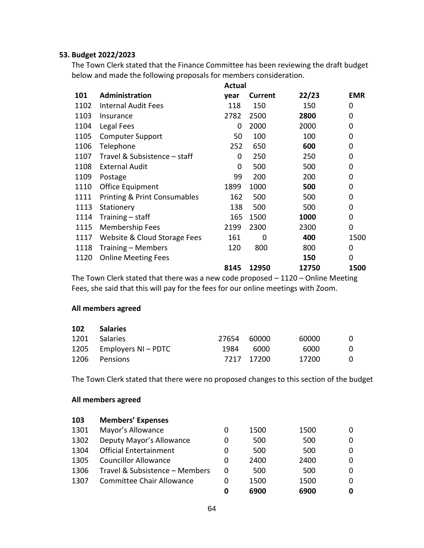#### **53. Budget 2022/2023**

The Town Clerk stated that the Finance Committee has been reviewing the draft budget below and made the following proposals for members consideration.

**Actual** 

|      |                                         | Actual |                |       |                |
|------|-----------------------------------------|--------|----------------|-------|----------------|
| 101  | <b>Administration</b>                   | year   | <b>Current</b> | 22/23 | <b>EMR</b>     |
| 1102 | <b>Internal Audit Fees</b>              | 118    | 150            | 150   | 0              |
| 1103 | Insurance                               | 2782   | 2500           | 2800  | 0              |
| 1104 | Legal Fees                              | 0      | 2000           | 2000  | $\mathbf 0$    |
| 1105 | <b>Computer Support</b>                 | 50     | 100            | 100   | $\mathbf 0$    |
| 1106 | Telephone                               | 252    | 650            | 600   | 0              |
| 1107 | Travel & Subsistence - staff            | 0      | 250            | 250   | 0              |
| 1108 | <b>External Audit</b>                   | 0      | 500            | 500   | 0              |
| 1109 | Postage                                 | 99     | 200            | 200   | 0              |
| 1110 | Office Equipment                        | 1899   | 1000           | 500   | 0              |
| 1111 | <b>Printing &amp; Print Consumables</b> | 162    | 500            | 500   | 0              |
| 1113 | Stationery                              | 138    | 500            | 500   | 0              |
| 1114 | Training $-$ staff                      | 165    | 1500           | 1000  | 0              |
| 1115 | <b>Membership Fees</b>                  | 2199   | 2300           | 2300  | $\overline{0}$ |
| 1117 | Website & Cloud Storage Fees            | 161    | 0              | 400   | 1500           |
| 1118 | Training – Members                      | 120    | 800            | 800   | 0              |
| 1120 | <b>Online Meeting Fees</b>              |        |                | 150   | 0              |
|      |                                         | 8145   | 12950          | 12750 | 1500           |
|      |                                         |        |                |       |                |

The Town Clerk stated that there was a new code proposed – 1120 – Online Meeting Fees, she said that this will pay for the fees for our online meetings with Zoom.

#### **All members agreed**

| 102  | <b>Salaries</b>          |             |            |       |          |
|------|--------------------------|-------------|------------|-------|----------|
| 1201 | Salaries                 | 27654 60000 |            | 60000 | $\Omega$ |
|      | 1205 Employers NI – PDTC | 1984        | 6000       | 6000  | $\Omega$ |
| 1206 | Pensions                 |             | 7217 17200 | 17200 | $\Omega$ |

The Town Clerk stated that there were no proposed changes to this section of the budget

## **All members agreed**

| 103  | <b>Members' Expenses</b>         |   |      |      |   |
|------|----------------------------------|---|------|------|---|
| 1301 | Mayor's Allowance                | 0 | 1500 | 1500 | 0 |
| 1302 | Deputy Mayor's Allowance         | 0 | 500  | 500  | 0 |
| 1304 | <b>Official Entertainment</b>    | 0 | 500  | 500  | 0 |
| 1305 | <b>Councillor Allowance</b>      | 0 | 2400 | 2400 | 0 |
| 1306 | Travel & Subsistence - Members   | 0 | 500  | 500  | 0 |
| 1307 | <b>Committee Chair Allowance</b> | 0 | 1500 | 1500 | 0 |
|      |                                  | 0 | 6900 | 6900 | 0 |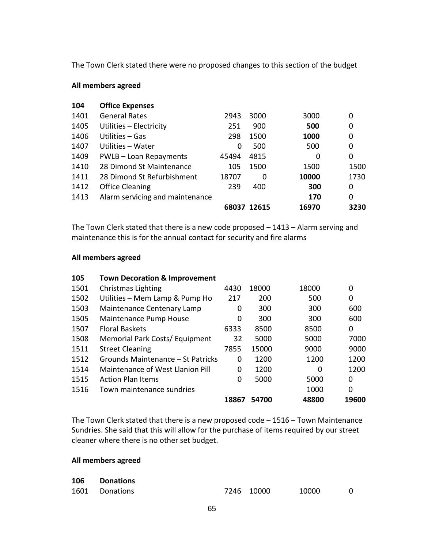The Town Clerk stated there were no proposed changes to this section of the budget

#### **All members agreed**

| 104  | <b>Office Expenses</b>          |       |             |       |      |
|------|---------------------------------|-------|-------------|-------|------|
| 1401 | <b>General Rates</b>            | 2943  | 3000        | 3000  | 0    |
| 1405 | Utilities - Electricity         | 251   | 900         | 500   | 0    |
| 1406 | Utilities – Gas                 | 298   | 1500        | 1000  | 0    |
| 1407 | Utilities – Water               | 0     | 500         | 500   | 0    |
| 1409 | PWLB - Loan Repayments          | 45494 | 4815        | 0     | 0    |
| 1410 | 28 Dimond St Maintenance        | 105   | 1500        | 1500  | 1500 |
| 1411 | 28 Dimond St Refurbishment      | 18707 | $\Omega$    | 10000 | 1730 |
| 1412 | <b>Office Cleaning</b>          | 239   | 400         | 300   | 0    |
| 1413 | Alarm servicing and maintenance |       |             | 170   | 0    |
|      |                                 |       | 68037 12615 | 16970 | 3230 |

The Town Clerk stated that there is a new code proposed – 1413 – Alarm serving and maintenance this is for the annual contact for security and fire alarms

#### **All members agreed**

| 105  | <b>Town Decoration &amp; Improvement</b> |       |       |          |          |
|------|------------------------------------------|-------|-------|----------|----------|
| 1501 | Christmas Lighting                       | 4430  | 18000 | 18000    | 0        |
| 1502 | Utilities - Mem Lamp & Pump Ho           | 217   | 200   | 500      | 0        |
| 1503 | Maintenance Centenary Lamp               | 0     | 300   | 300      | 600      |
| 1505 | <b>Maintenance Pump House</b>            | 0     | 300   | 300      | 600      |
| 1507 | <b>Floral Baskets</b>                    | 6333  | 8500  | 8500     | 0        |
| 1508 | Memorial Park Costs/ Equipment           | 32    | 5000  | 5000     | 7000     |
| 1511 | <b>Street Cleaning</b>                   | 7855  | 15000 | 9000     | 9000     |
| 1512 | Grounds Maintenance – St Patricks        | 0     | 1200  | 1200     | 1200     |
| 1514 | Maintenance of West Llanion Pill         | 0     | 1200  | $\Omega$ | 1200     |
| 1515 | <b>Action Plan Items</b>                 | 0     | 5000  | 5000     | $\Omega$ |
| 1516 | Town maintenance sundries                |       |       | 1000     | 0        |
|      |                                          | 18867 | 54700 | 48800    | 19600    |

The Town Clerk stated that there is a new proposed code – 1516 – Town Maintenance Sundries. She said that this will allow for the purchase of items required by our street cleaner where there is no other set budget.

## **All members agreed**

| 106 | <b>Donations</b> |            |       |  |
|-----|------------------|------------|-------|--|
|     | 1601 Donations   | 7246 10000 | 10000 |  |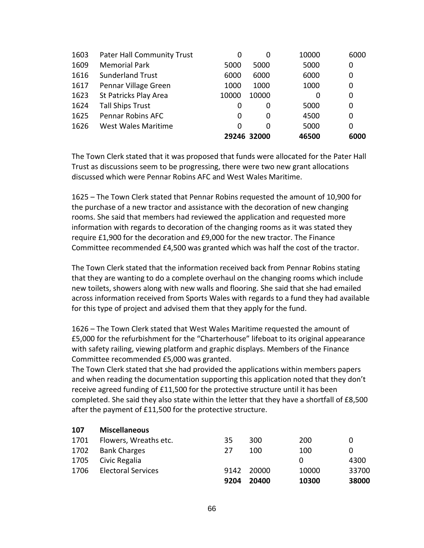| 1603 | <b>Pater Hall Community Trust</b> | 0     | 0           | 10000 | 6000 |
|------|-----------------------------------|-------|-------------|-------|------|
| 1609 | <b>Memorial Park</b>              | 5000  | 5000        | 5000  | 0    |
| 1616 | <b>Sunderland Trust</b>           | 6000  | 6000        | 6000  | 0    |
| 1617 | Pennar Village Green              | 1000  | 1000        | 1000  | 0    |
| 1623 | St Patricks Play Area             | 10000 | 10000       | 0     | 0    |
| 1624 | <b>Tall Ships Trust</b>           | 0     | 0           | 5000  | 0    |
| 1625 | Pennar Robins AFC                 | 0     | 0           | 4500  | 0    |
| 1626 | <b>West Wales Maritime</b>        | 0     | 0           | 5000  | 0    |
|      |                                   |       | 29246 32000 | 46500 | 6000 |

The Town Clerk stated that it was proposed that funds were allocated for the Pater Hall Trust as discussions seem to be progressing, there were two new grant allocations discussed which were Pennar Robins AFC and West Wales Maritime.

1625 – The Town Clerk stated that Pennar Robins requested the amount of 10,900 for the purchase of a new tractor and assistance with the decoration of new changing rooms. She said that members had reviewed the application and requested more information with regards to decoration of the changing rooms as it was stated they require £1,900 for the decoration and £9,000 for the new tractor. The Finance Committee recommended £4,500 was granted which was half the cost of the tractor.

The Town Clerk stated that the information received back from Pennar Robins stating that they are wanting to do a complete overhaul on the changing rooms which include new toilets, showers along with new walls and flooring. She said that she had emailed across information received from Sports Wales with regards to a fund they had available for this type of project and advised them that they apply for the fund.

1626 – The Town Clerk stated that West Wales Maritime requested the amount of £5,000 for the refurbishment for the "Charterhouse" lifeboat to its original appearance with safety railing, viewing platform and graphic displays. Members of the Finance Committee recommended £5,000 was granted.

The Town Clerk stated that she had provided the applications within members papers and when reading the documentation supporting this application noted that they don't receive agreed funding of £11,500 for the protective structure until it has been completed. She said they also state within the letter that they have a shortfall of £8,500 after the payment of £11,500 for the protective structure.

| 107  | <b>Miscellaneous</b>      |      |       |       |       |
|------|---------------------------|------|-------|-------|-------|
| 1701 | Flowers, Wreaths etc.     | 35   | 300   | 200   | 0     |
| 1702 | <b>Bank Charges</b>       | 27   | 100   | 100   | 0     |
| 1705 | Civic Regalia             |      |       | 0     | 4300  |
| 1706 | <b>Electoral Services</b> | 9142 | 20000 | 10000 | 33700 |
|      |                           | 9204 | 20400 | 10300 | 38000 |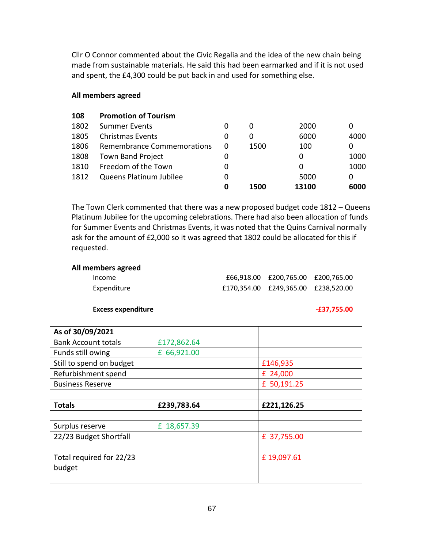Cllr O Connor commented about the Civic Regalia and the idea of the new chain being made from sustainable materials. He said this had been earmarked and if it is not used and spent, the £4,300 could be put back in and used for something else.

#### **All members agreed**

| 108  | <b>Promotion of Tourism</b> |   |      |       |      |
|------|-----------------------------|---|------|-------|------|
| 1802 | <b>Summer Events</b>        | 0 | 0    | 2000  | 0    |
| 1805 | <b>Christmas Events</b>     | 0 | 0    | 6000  | 4000 |
| 1806 | Remembrance Commemorations  | 0 | 1500 | 100   | 0    |
| 1808 | <b>Town Band Project</b>    | 0 |      | 0     | 1000 |
| 1810 | Freedom of the Town         | 0 |      | 0     | 1000 |
| 1812 | Queens Platinum Jubilee     | 0 |      | 5000  | 0    |
|      |                             | 0 | 1500 | 13100 | 6000 |

The Town Clerk commented that there was a new proposed budget code 1812 – Queens Platinum Jubilee for the upcoming celebrations. There had also been allocation of funds for Summer Events and Christmas Events, it was noted that the Quins Carnival normally ask for the amount of £2,000 so it was agreed that 1802 could be allocated for this if requested.

#### **All members agreed**

| Income      | £66,918.00 £200,765.00 £200,765.00  |  |
|-------------|-------------------------------------|--|
| Expenditure | £170.354.00 £249.365.00 £238.520.00 |  |

#### **Excess expenditure -237,755.00**

| As of 30/09/2021           |             |             |  |
|----------------------------|-------------|-------------|--|
| <b>Bank Account totals</b> | £172,862.64 |             |  |
| Funds still owing          | £ 66,921.00 |             |  |
| Still to spend on budget   |             | £146,935    |  |
| Refurbishment spend        |             | £ 24,000    |  |
| <b>Business Reserve</b>    |             | £ 50,191.25 |  |
|                            |             |             |  |
| <b>Totals</b>              | £239,783.64 | £221,126.25 |  |
|                            |             |             |  |
|                            |             |             |  |
| Surplus reserve            | £ 18,657.39 |             |  |
| 22/23 Budget Shortfall     |             | £ 37,755.00 |  |
|                            |             |             |  |
| Total required for 22/23   |             | £19,097.61  |  |
| budget                     |             |             |  |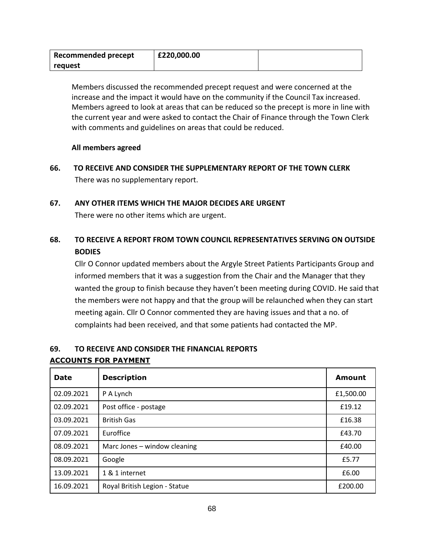| <b>Recommended precept</b> | £220,000.00 |  |
|----------------------------|-------------|--|
| reguest                    |             |  |

Members discussed the recommended precept request and were concerned at the increase and the impact it would have on the community if the Council Tax increased. Members agreed to look at areas that can be reduced so the precept is more in line with the current year and were asked to contact the Chair of Finance through the Town Clerk with comments and guidelines on areas that could be reduced.

# **All members agreed**

**66. TO RECEIVE AND CONSIDER THE SUPPLEMENTARY REPORT OF THE TOWN CLERK** There was no supplementary report.

# **67. ANY OTHER ITEMS WHICH THE MAJOR DECIDES ARE URGENT**

There were no other items which are urgent.

# **68. TO RECEIVE A REPORT FROM TOWN COUNCIL REPRESENTATIVES SERVING ON OUTSIDE BODIES**

Cllr O Connor updated members about the Argyle Street Patients Participants Group and informed members that it was a suggestion from the Chair and the Manager that they wanted the group to finish because they haven't been meeting during COVID. He said that the members were not happy and that the group will be relaunched when they can start meeting again. Cllr O Connor commented they are having issues and that a no. of complaints had been received, and that some patients had contacted the MP.

# **69. TO RECEIVE AND CONSIDER THE FINANCIAL REPORTS ACCOUNTS FOR PAYMENT**

| <b>Date</b> | <b>Description</b>            | <b>Amount</b> |
|-------------|-------------------------------|---------------|
| 02.09.2021  | P A Lynch                     | £1,500.00     |
| 02.09.2021  | Post office - postage         | £19.12        |
| 03.09.2021  | <b>British Gas</b>            | £16.38        |
| 07.09.2021  | Euroffice                     | £43.70        |
| 08.09.2021  | Marc Jones - window cleaning  | £40.00        |
| 08.09.2021  | Google                        | £5.77         |
| 13.09.2021  | 1 & 1 internet                | £6.00         |
| 16.09.2021  | Royal British Legion - Statue | £200.00       |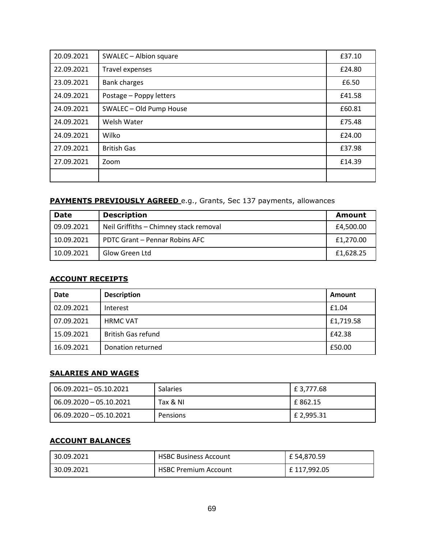| 20.09.2021 | SWALEC - Albion square  | £37.10 |
|------------|-------------------------|--------|
| 22.09.2021 | Travel expenses         | £24.80 |
| 23.09.2021 | <b>Bank charges</b>     | £6.50  |
| 24.09.2021 | Postage - Poppy letters | £41.58 |
| 24.09.2021 | SWALEC - Old Pump House | £60.81 |
| 24.09.2021 | Welsh Water             | £75.48 |
| 24.09.2021 | Wilko                   | £24.00 |
| 27.09.2021 | <b>British Gas</b>      | £37.98 |
| 27.09.2021 | Zoom                    | £14.39 |
|            |                         |        |

# **PAYMENTS PREVIOUSLY AGREED** e.g., Grants, Sec 137 payments, allowances

| <b>Date</b> | <b>Description</b>                     | <b>Amount</b> |
|-------------|----------------------------------------|---------------|
| 09.09.2021  | Neil Griffiths - Chimney stack removal | £4,500.00     |
| 10.09.2021  | PDTC Grant - Pennar Robins AFC         | £1,270.00     |
| 10.09.2021  | Glow Green Ltd                         | £1,628.25     |

## **ACCOUNT RECEIPTS**

| <b>Date</b> | <b>Description</b>        | Amount    |
|-------------|---------------------------|-----------|
| 02.09.2021  | Interest                  | £1.04     |
| 07.09.2021  | <b>HRMC VAT</b>           | £1,719.58 |
| 15.09.2021  | <b>British Gas refund</b> | £42.38    |
| 16.09.2021  | Donation returned         | £50.00    |

## **SALARIES AND WAGES**

| 06.09.2021– 05.10.2021  | <b>Salaries</b> | $E$ 3,777.68 |
|-------------------------|-----------------|--------------|
| 06.09.2020 - 05.10.2021 | Tax & NI        | E 862.15     |
| 06.09.2020 - 05.10.2021 | Pensions        | E 2,995.31   |

#### **ACCOUNT BALANCES**

| 30.09.2021 | <b>HSBC Business Account</b> | £ 54,870.59  |
|------------|------------------------------|--------------|
| 30.09.2021 | <b>HSBC Premium Account</b>  | £ 117,992.05 |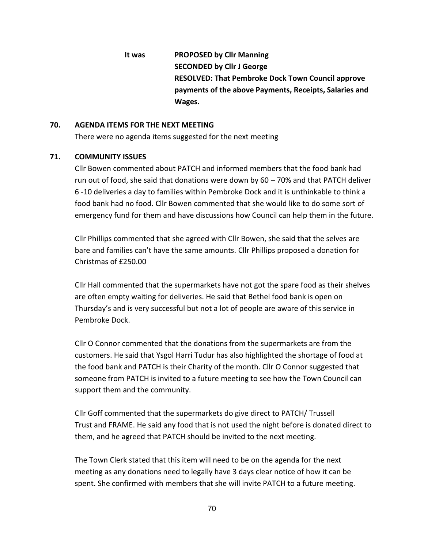**It was PROPOSED by Cllr Manning SECONDED by Cllr J George RESOLVED: That Pembroke Dock Town Council approve payments of the above Payments, Receipts, Salaries and Wages.**

#### **70. AGENDA ITEMS FOR THE NEXT MEETING**

There were no agenda items suggested for the next meeting

## **71. COMMUNITY ISSUES**

Cllr Bowen commented about PATCH and informed members that the food bank had run out of food, she said that donations were down by 60 – 70% and that PATCH deliver 6 -10 deliveries a day to families within Pembroke Dock and it is unthinkable to think a food bank had no food. Cllr Bowen commented that she would like to do some sort of emergency fund for them and have discussions how Council can help them in the future.

Cllr Phillips commented that she agreed with Cllr Bowen, she said that the selves are bare and families can't have the same amounts. Cllr Phillips proposed a donation for Christmas of £250.00

Cllr Hall commented that the supermarkets have not got the spare food as their shelves are often empty waiting for deliveries. He said that Bethel food bank is open on Thursday's and is very successful but not a lot of people are aware of this service in Pembroke Dock.

Cllr O Connor commented that the donations from the supermarkets are from the customers. He said that Ysgol Harri Tudur has also highlighted the shortage of food at the food bank and PATCH is their Charity of the month. Cllr O Connor suggested that someone from PATCH is invited to a future meeting to see how the Town Council can support them and the community.

Cllr Goff commented that the supermarkets do give direct to PATCH/ Trussell Trust and FRAME. He said any food that is not used the night before is donated direct to them, and he agreed that PATCH should be invited to the next meeting.

The Town Clerk stated that this item will need to be on the agenda for the next meeting as any donations need to legally have 3 days clear notice of how it can be spent. She confirmed with members that she will invite PATCH to a future meeting.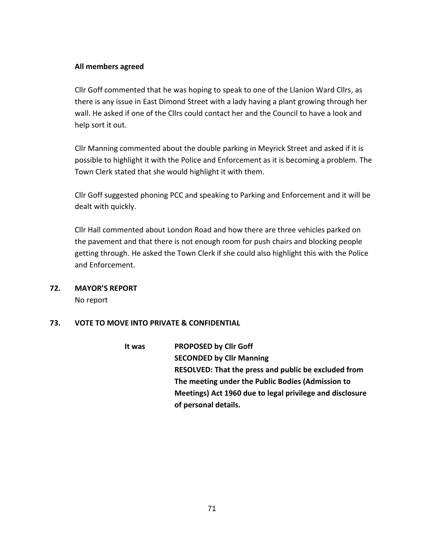### **All members agreed**

Cllr Goff commented that he was hoping to speak to one of the Llanion Ward Cllrs, as there is any issue in East Dimond Street with a lady having a plant growing through her wall. He asked if one of the Cllrs could contact her and the Council to have a look and help sort it out.

Cllr Manning commented about the double parking in Meyrick Street and asked if it is possible to highlight it with the Police and Enforcement as it is becoming a problem. The Town Clerk stated that she would highlight it with them.

Cllr Goff suggested phoning PCC and speaking to Parking and Enforcement and it will be dealt with quickly.

Cllr Hall commented about London Road and how there are three vehicles parked on the pavement and that there is not enough room for push chairs and blocking people getting through. He asked the Town Clerk if she could also highlight this with the Police and Enforcement.

# **72. MAYOR'S REPORT**

No report

# **73. VOTE TO MOVE INTO PRIVATE & CONFIDENTIAL**

**It was PROPOSED by Cllr Goff SECONDED by Cllr Manning RESOLVED: That the press and public be excluded from The meeting under the Public Bodies (Admission to Meetings) Act 1960 due to legal privilege and disclosure of personal details.**